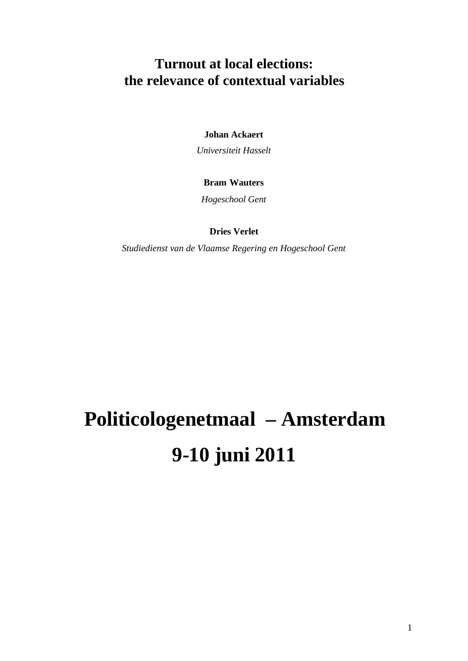# **Turnout at local elections: the relevance of contextual variables**

**Johan Ackaert** 

*Universiteit Hasselt*

# **Bram Wauters**

*Hogeschool Gent*

**Dries Verlet** 

*Studiedienst van de Vlaamse Regering en Hogeschool Gent*

# **Politicologenetmaal – Amsterdam 9-10 juni 2011**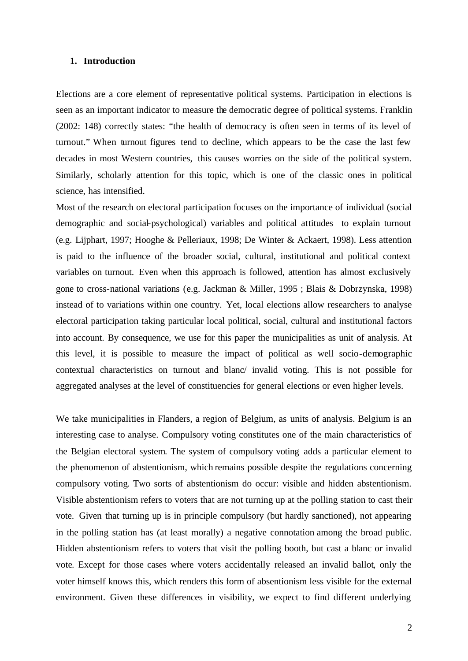#### **1. Introduction**

Elections are a core element of representative political systems. Participation in elections is seen as an important indicator to measure the democratic degree of political systems. Franklin (2002: 148) correctly states: "the health of democracy is often seen in terms of its level of turnout." When turnout figures tend to decline, which appears to be the case the last few decades in most Western countries, this causes worries on the side of the political system. Similarly, scholarly attention for this topic, which is one of the classic ones in political science, has intensified.

Most of the research on electoral participation focuses on the importance of individual (social demographic and social-psychological) variables and political attitudes to explain turnout (e.g. Lijphart, 1997; Hooghe & Pelleriaux, 1998; De Winter & Ackaert, 1998). Less attention is paid to the influence of the broader social, cultural, institutional and political context variables on turnout. Even when this approach is followed, attention has almost exclusively gone to cross-national variations (e.g. Jackman & Miller, 1995 ; Blais & Dobrzynska, 1998) instead of to variations within one country. Yet, local elections allow researchers to analyse electoral participation taking particular local political, social, cultural and institutional factors into account. By consequence, we use for this paper the municipalities as unit of analysis. At this level, it is possible to measure the impact of political as well socio-demographic contextual characteristics on turnout and blanc/ invalid voting. This is not possible for aggregated analyses at the level of constituencies for general elections or even higher levels.

We take municipalities in Flanders, a region of Belgium, as units of analysis. Belgium is an interesting case to analyse. Compulsory voting constitutes one of the main characteristics of the Belgian electoral system. The system of compulsory voting adds a particular element to the phenomenon of abstentionism, which remains possible despite the regulations concerning compulsory voting. Two sorts of abstentionism do occur: visible and hidden abstentionism. Visible abstentionism refers to voters that are not turning up at the polling station to cast their vote. Given that turning up is in principle compulsory (but hardly sanctioned), not appearing in the polling station has (at least morally) a negative connotation among the broad public. Hidden abstentionism refers to voters that visit the polling booth, but cast a blanc or invalid vote. Except for those cases where voters accidentally released an invalid ballot, only the voter himself knows this, which renders this form of absentionism less visible for the external environment. Given these differences in visibility, we expect to find different underlying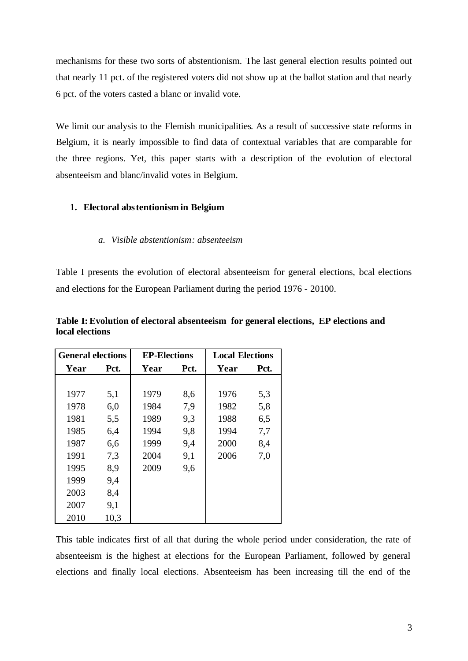mechanisms for these two sorts of abstentionism. The last general election results pointed out that nearly 11 pct. of the registered voters did not show up at the ballot station and that nearly 6 pct. of the voters casted a blanc or invalid vote.

We limit our analysis to the Flemish municipalities. As a result of successive state reforms in Belgium, it is nearly impossible to find data of contextual variables that are comparable for the three regions. Yet, this paper starts with a description of the evolution of electoral absenteeism and blanc/invalid votes in Belgium.

# **1. Electoral abstentionism in Belgium**

# *a. Visible abstentionism: absenteeism*

Table I presents the evolution of electoral absenteeism for general elections, bcal elections and elections for the European Parliament during the period 1976 - 20100.

| <b>General elections</b> |      | <b>EP-Elections</b> |      | <b>Local Elections</b> |      |  |  |
|--------------------------|------|---------------------|------|------------------------|------|--|--|
| Year                     | Pct. | Year                | Pct. | Year                   | Pct. |  |  |
|                          |      |                     |      |                        |      |  |  |
| 1977                     | 5,1  | 1979                | 8,6  | 1976                   | 5,3  |  |  |
| 1978                     | 6,0  | 1984                | 7,9  | 1982                   | 5,8  |  |  |
| 1981                     | 5,5  | 1989                | 9,3  | 1988                   | 6,5  |  |  |
| 1985                     | 6,4  | 1994                | 9,8  | 1994                   | 7,7  |  |  |
| 1987                     | 6,6  | 1999                | 9,4  | 2000                   | 8,4  |  |  |
| 1991                     | 7,3  | 2004                | 9,1  | 2006                   | 7,0  |  |  |
| 1995                     | 8,9  | 2009                | 9,6  |                        |      |  |  |
| 1999                     | 9,4  |                     |      |                        |      |  |  |
| 2003                     | 8,4  |                     |      |                        |      |  |  |
| 2007                     | 9,1  |                     |      |                        |      |  |  |
| 2010                     | 10,3 |                     |      |                        |      |  |  |

**Table I: Evolution of electoral absenteeism for general elections, EP elections and local elections**

This table indicates first of all that during the whole period under consideration, the rate of absenteeism is the highest at elections for the European Parliament, followed by general elections and finally local elections. Absenteeism has been increasing till the end of the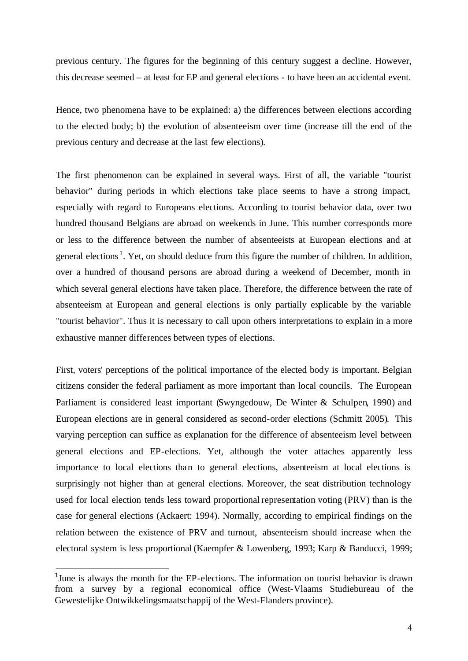previous century. The figures for the beginning of this century suggest a decline. However, this decrease seemed – at least for EP and general elections - to have been an accidental event.

Hence, two phenomena have to be explained: a) the differences between elections according to the elected body; b) the evolution of absenteeism over time (increase till the end of the previous century and decrease at the last few elections).

The first phenomenon can be explained in several ways. First of all, the variable "tourist behavior" during periods in which elections take place seems to have a strong impact, especially with regard to Europeans elections. According to tourist behavior data, over two hundred thousand Belgians are abroad on weekends in June. This number corresponds more or less to the difference between the number of absenteeists at European elections and at general elections<sup>1</sup>. Yet, on should deduce from this figure the number of children. In addition, over a hundred of thousand persons are abroad during a weekend of December, month in which several general elections have taken place. Therefore, the difference between the rate of absenteeism at European and general elections is only partially explicable by the variable "tourist behavior". Thus it is necessary to call upon others interpretations to explain in a more exhaustive manner differences between types of elections.

First, voters' perceptions of the political importance of the elected body is important. Belgian citizens consider the federal parliament as more important than local councils. The European Parliament is considered least important (Swyngedouw, De Winter & Schulpen, 1990) and European elections are in general considered as second-order elections (Schmitt 2005). This varying perception can suffice as explanation for the difference of absenteeism level between general elections and EP-elections. Yet, although the voter attaches apparently less importance to local elections than to general elections, absenteeism at local elections is surprisingly not higher than at general elections. Moreover, the seat distribution technology used for local election tends less toward proportional representation voting (PRV) than is the case for general elections (Ackaert: 1994). Normally, according to empirical findings on the relation between the existence of PRV and turnout, absenteeism should increase when the electoral system is less proportional (Kaempfer & Lowenberg, 1993; Karp & Banducci, 1999;

l

<sup>&</sup>lt;sup>1</sup>June is always the month for the EP-elections. The information on tourist behavior is drawn from a survey by a regional economical office (West-Vlaams Studiebureau of the Gewestelijke Ontwikkelingsmaatschappij of the West-Flanders province).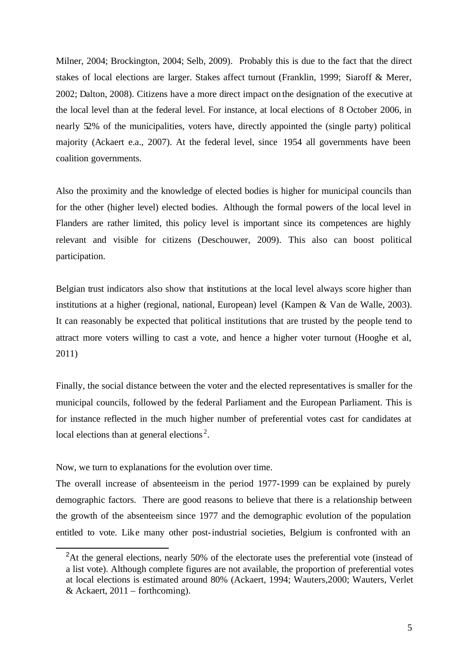Milner, 2004; Brockington, 2004; Selb, 2009). Probably this is due to the fact that the direct stakes of local elections are larger. Stakes affect turnout (Franklin, 1999; Siaroff & Merer, 2002; Dalton, 2008). Citizens have a more direct impact on the designation of the executive at the local level than at the federal level. For instance, at local elections of 8 October 2006, in nearly 52% of the municipalities, voters have, directly appointed the (single party) political majority (Ackaert e.a., 2007). At the federal level, since 1954 all governments have been coalition governments.

Also the proximity and the knowledge of elected bodies is higher for municipal councils than for the other (higher level) elected bodies. Although the formal powers of the local level in Flanders are rather limited, this policy level is important since its competences are highly relevant and visible for citizens (Deschouwer, 2009). This also can boost political participation.

Belgian trust indicators also show that institutions at the local level always score higher than institutions at a higher (regional, national, European) level (Kampen & Van de Walle, 2003). It can reasonably be expected that political institutions that are trusted by the people tend to attract more voters willing to cast a vote, and hence a higher voter turnout (Hooghe et al, 2011)

Finally, the social distance between the voter and the elected representatives is smaller for the municipal councils, followed by the federal Parliament and the European Parliament. This is for instance reflected in the much higher number of preferential votes cast for candidates at local elections than at general elections<sup>2</sup>.

Now, we turn to explanations for the evolution over time.

l

The overall increase of absenteeism in the period 1977-1999 can be explained by purely demographic factors. There are good reasons to believe that there is a relationship between the growth of the absenteeism since 1977 and the demographic evolution of the population entitled to vote. Like many other post-industrial societies, Belgium is confronted with an

<sup>&</sup>lt;sup>2</sup>At the general elections, nearly 50% of the electorate uses the preferential vote (instead of a list vote). Although complete figures are not available, the proportion of preferential votes at local elections is estimated around 80% (Ackaert, 1994; Wauters,2000; Wauters, Verlet & Ackaert,  $2011 -$  forthcoming).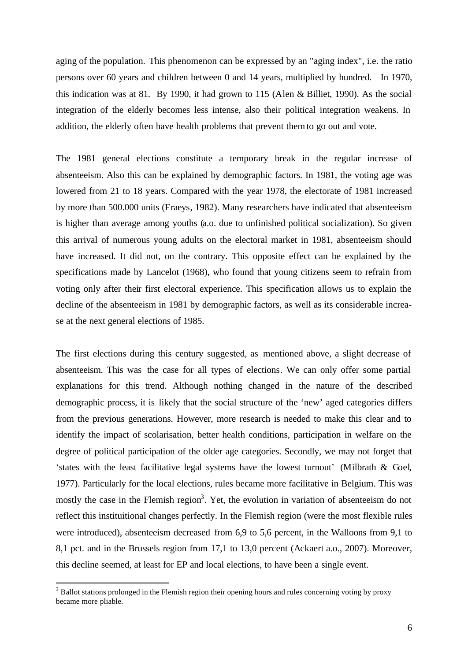aging of the population. This phenomenon can be expressed by an "aging index", i.e. the ratio persons over 60 years and children between 0 and 14 years, multiplied by hundred. In 1970, this indication was at 81. By 1990, it had grown to 115 (Alen & Billiet, 1990). As the social integration of the elderly becomes less intense, also their political integration weakens. In addition, the elderly often have health problems that prevent them to go out and vote.

The 1981 general elections constitute a temporary break in the regular increase of absenteeism. Also this can be explained by demographic factors. In 1981, the voting age was lowered from 21 to 18 years. Compared with the year 1978, the electorate of 1981 increased by more than 500.000 units (Fraeys, 1982). Many researchers have indicated that absenteeism is higher than average among youths (a.o. due to unfinished political socialization). So given this arrival of numerous young adults on the electoral market in 1981, absenteeism should have increased. It did not, on the contrary. This opposite effect can be explained by the specifications made by Lancelot (1968), who found that young citizens seem to refrain from voting only after their first electoral experience. This specification allows us to explain the decline of the absenteeism in 1981 by demographic factors, as well as its considerable increase at the next general elections of 1985.

The first elections during this century suggested, as mentioned above, a slight decrease of absenteeism. This was the case for all types of elections. We can only offer some partial explanations for this trend. Although nothing changed in the nature of the described demographic process, it is likely that the social structure of the 'new' aged categories differs from the previous generations. However, more research is needed to make this clear and to identify the impact of scolarisation, better health conditions, participation in welfare on the degree of political participation of the older age categories. Secondly, we may not forget that 'states with the least facilitative legal systems have the lowest turnout' (Milbrath & Goel, 1977). Particularly for the local elections, rules became more facilitative in Belgium. This was mostly the case in the Flemish region<sup>3</sup>. Yet, the evolution in variation of absenteeism do not reflect this instituitional changes perfectly. In the Flemish region (were the most flexible rules were introduced), absenteeism decreased from 6,9 to 5,6 percent, in the Walloons from 9,1 to 8,1 pct. and in the Brussels region from 17,1 to 13,0 percent (Ackaert a.o., 2007). Moreover, this decline seemed, at least for EP and local elections, to have been a single event.

l

<sup>&</sup>lt;sup>3</sup> Ballot stations prolonged in the Flemish region their opening hours and rules concerning voting by proxy became more pliable.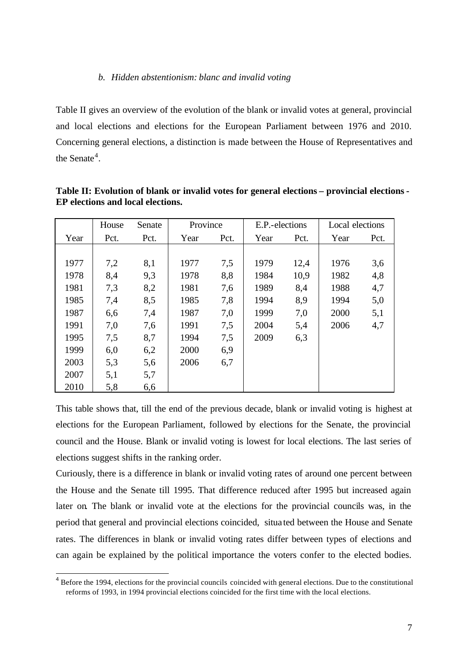#### *b. Hidden abstentionism: blanc and invalid voting*

Table II gives an overview of the evolution of the blank or invalid votes at general, provincial and local elections and elections for the European Parliament between 1976 and 2010. Concerning general elections, a distinction is made between the House of Representatives and the Senate<sup>4</sup>.

|      | House | Senate | Province |      | E.P.-elections |      | Local elections |      |  |
|------|-------|--------|----------|------|----------------|------|-----------------|------|--|
| Year | Pct.  | Pct.   | Year     | Pct. | Year           | Pct. | Year            | Pct. |  |
|      |       |        |          |      |                |      |                 |      |  |
| 1977 | 7,2   | 8,1    | 1977     | 7,5  | 1979           | 12,4 | 1976            | 3,6  |  |
| 1978 | 8,4   | 9,3    | 1978     | 8,8  | 1984           | 10,9 | 1982            | 4,8  |  |
| 1981 | 7,3   | 8,2    | 1981     | 7,6  | 1989           | 8,4  | 1988            | 4,7  |  |
| 1985 | 7,4   | 8,5    | 1985     | 7,8  | 1994           | 8,9  | 1994            | 5,0  |  |
| 1987 | 6,6   | 7,4    | 1987     | 7,0  | 1999           | 7,0  | 2000            | 5,1  |  |
| 1991 | 7,0   | 7,6    | 1991     | 7,5  | 2004           | 5,4  | 2006            | 4,7  |  |
| 1995 | 7,5   | 8,7    | 1994     | 7,5  | 2009           | 6,3  |                 |      |  |
| 1999 | 6,0   | 6,2    | 2000     | 6,9  |                |      |                 |      |  |
| 2003 | 5,3   | 5,6    | 2006     | 6,7  |                |      |                 |      |  |
| 2007 | 5,1   | 5,7    |          |      |                |      |                 |      |  |
| 2010 | 5,8   | 6,6    |          |      |                |      |                 |      |  |

**Table II: Evolution of blank or invalid votes for general elections – provincial elections - EP elections and local elections.** 

This table shows that, till the end of the previous decade, blank or invalid voting is highest at elections for the European Parliament, followed by elections for the Senate, the provincial council and the House. Blank or invalid voting is lowest for local elections. The last series of elections suggest shifts in the ranking order.

Curiously, there is a difference in blank or invalid voting rates of around one percent between the House and the Senate till 1995. That difference reduced after 1995 but increased again later on. The blank or invalid vote at the elections for the provincial councils was, in the period that general and provincial elections coincided, situa ted between the House and Senate rates. The differences in blank or invalid voting rates differ between types of elections and can again be explained by the political importance the voters confer to the elected bodies.

<sup>&</sup>lt;sup>4</sup> Before the 1994, elections for the provincial councils coincided with general elections. Due to the constitutional reforms of 1993, in 1994 provincial elections coincided for the first time with the local elections.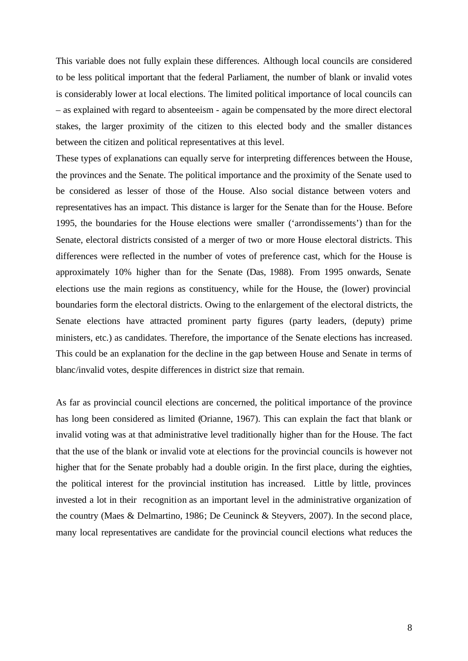This variable does not fully explain these differences. Although local councils are considered to be less political important that the federal Parliament, the number of blank or invalid votes is considerably lower at local elections. The limited political importance of local councils can – as explained with regard to absenteeism - again be compensated by the more direct electoral stakes, the larger proximity of the citizen to this elected body and the smaller distances between the citizen and political representatives at this level.

These types of explanations can equally serve for interpreting differences between the House, the provinces and the Senate. The political importance and the proximity of the Senate used to be considered as lesser of those of the House. Also social distance between voters and representatives has an impact. This distance is larger for the Senate than for the House. Before 1995, the boundaries for the House elections were smaller ('arrondissements') than for the Senate, electoral districts consisted of a merger of two or more House electoral districts. This differences were reflected in the number of votes of preference cast, which for the House is approximately 10% higher than for the Senate (Das, 1988). From 1995 onwards, Senate elections use the main regions as constituency, while for the House, the (lower) provincial boundaries form the electoral districts. Owing to the enlargement of the electoral districts, the Senate elections have attracted prominent party figures (party leaders, (deputy) prime ministers, etc.) as candidates. Therefore, the importance of the Senate elections has increased. This could be an explanation for the decline in the gap between House and Senate in terms of blanc/invalid votes, despite differences in district size that remain.

As far as provincial council elections are concerned, the political importance of the province has long been considered as limited (Orianne, 1967). This can explain the fact that blank or invalid voting was at that administrative level traditionally higher than for the House. The fact that the use of the blank or invalid vote at elections for the provincial councils is however not higher that for the Senate probably had a double origin. In the first place, during the eighties, the political interest for the provincial institution has increased. Little by little, provinces invested a lot in their recognition as an important level in the administrative organization of the country (Maes & Delmartino, 1986; De Ceuninck & Steyvers, 2007). In the second place, many local representatives are candidate for the provincial council elections what reduces the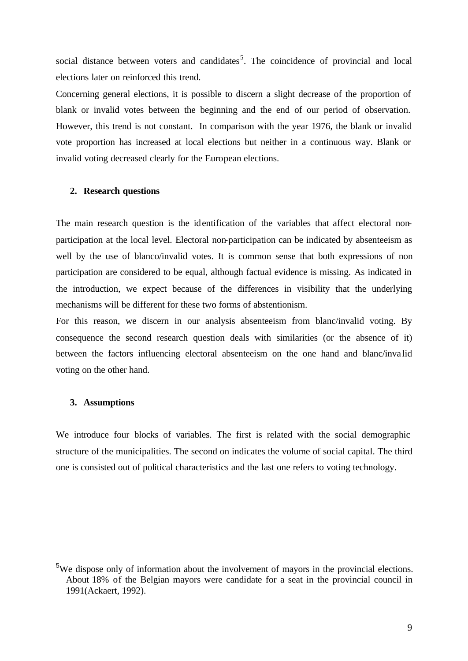social distance between voters and candidates<sup>5</sup>. The coincidence of provincial and local elections later on reinforced this trend.

Concerning general elections, it is possible to discern a slight decrease of the proportion of blank or invalid votes between the beginning and the end of our period of observation. However, this trend is not constant. In comparison with the year 1976, the blank or invalid vote proportion has increased at local elections but neither in a continuous way. Blank or invalid voting decreased clearly for the European elections.

#### **2. Research questions**

The main research question is the identification of the variables that affect electoral nonparticipation at the local level. Electoral non-participation can be indicated by absenteeism as well by the use of blanco/invalid votes. It is common sense that both expressions of non participation are considered to be equal, although factual evidence is missing. As indicated in the introduction, we expect because of the differences in visibility that the underlying mechanisms will be different for these two forms of abstentionism.

For this reason, we discern in our analysis absenteeism from blanc/invalid voting. By consequence the second research question deals with similarities (or the absence of it) between the factors influencing electoral absenteeism on the one hand and blanc/inva lid voting on the other hand.

#### **3. Assumptions**

l

We introduce four blocks of variables. The first is related with the social demographic structure of the municipalities. The second on indicates the volume of social capital. The third one is consisted out of political characteristics and the last one refers to voting technology.

<sup>5</sup>We dispose only of information about the involvement of mayors in the provincial elections. About 18% of the Belgian mayors were candidate for a seat in the provincial council in 1991(Ackaert, 1992).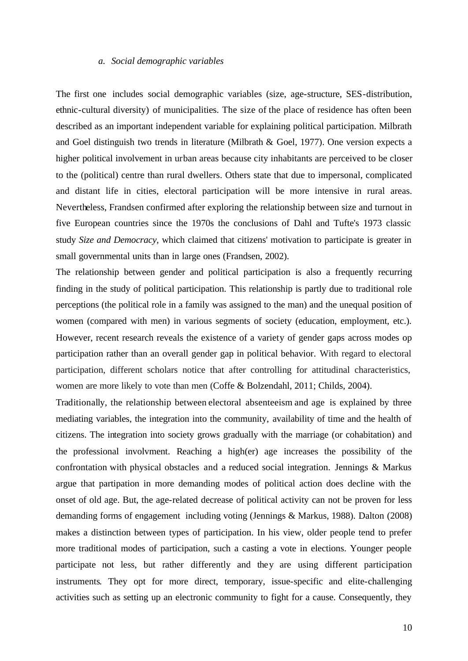#### *a. Social demographic variables*

The first one includes social demographic variables (size, age-structure, SES-distribution, ethnic-cultural diversity) of municipalities. The size of the place of residence has often been described as an important independent variable for explaining political participation. Milbrath and Goel distinguish two trends in literature (Milbrath & Goel, 1977). One version expects a higher political involvement in urban areas because city inhabitants are perceived to be closer to the (political) centre than rural dwellers. Others state that due to impersonal, complicated and distant life in cities, electoral participation will be more intensive in rural areas. Nevertheless, Frandsen confirmed after exploring the relationship between size and turnout in five European countries since the 1970s the conclusions of Dahl and Tufte's 1973 classic study *Size and Democracy*, which claimed that citizens' motivation to participate is greater in small governmental units than in large ones (Frandsen, 2002).

The relationship between gender and political participation is also a frequently recurring finding in the study of political participation. This relationship is partly due to traditional role perceptions (the political role in a family was assigned to the man) and the unequal position of women (compared with men) in various segments of society (education, employment, etc.). However, recent research reveals the existence of a variety of gender gaps across modes op participation rather than an overall gender gap in political behavior. With regard to electoral participation, different scholars notice that after controlling for attitudinal characteristics, women are more likely to vote than men (Coffe & Bolzendahl, 2011; Childs, 2004).

Traditionally, the relationship between electoral absenteeism and age is explained by three mediating variables, the integration into the community, availability of time and the health of citizens. The integration into society grows gradually with the marriage (or cohabitation) and the professional involvment. Reaching a high(er) age increases the possibility of the confrontation with physical obstacles and a reduced social integration. Jennings & Markus argue that partipation in more demanding modes of political action does decline with the onset of old age. But, the age-related decrease of political activity can not be proven for less demanding forms of engagement including voting (Jennings & Markus, 1988). Dalton (2008) makes a distinction between types of participation. In his view, older people tend to prefer more traditional modes of participation, such a casting a vote in elections. Younger people participate not less, but rather differently and they are using different participation instruments. They opt for more direct, temporary, issue-specific and elite-challenging activities such as setting up an electronic community to fight for a cause. Consequently, they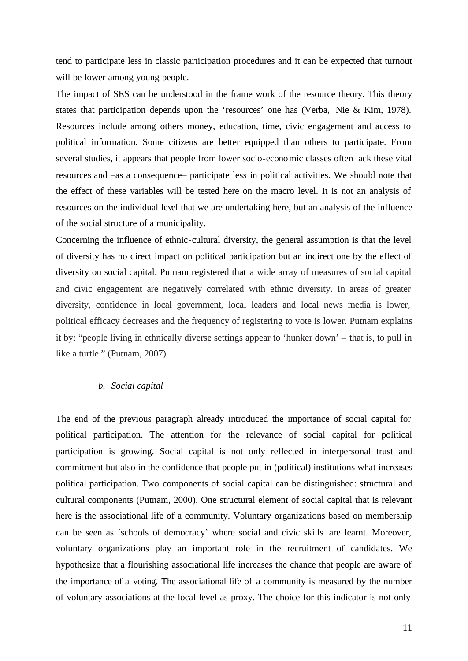tend to participate less in classic participation procedures and it can be expected that turnout will be lower among young people.

The impact of SES can be understood in the frame work of the resource theory. This theory states that participation depends upon the 'resources' one has (Verba, Nie & Kim, 1978). Resources include among others money, education, time, civic engagement and access to political information. Some citizens are better equipped than others to participate. From several studies, it appears that people from lower socio-economic classes often lack these vital resources and –as a consequence– participate less in political activities. We should note that the effect of these variables will be tested here on the macro level. It is not an analysis of resources on the individual level that we are undertaking here, but an analysis of the influence of the social structure of a municipality.

Concerning the influence of ethnic-cultural diversity, the general assumption is that the level of diversity has no direct impact on political participation but an indirect one by the effect of diversity on social capital. Putnam registered that a wide array of measures of social capital and civic engagement are negatively correlated with ethnic diversity. In areas of greater diversity, confidence in local government, local leaders and local news media is lower, political efficacy decreases and the frequency of registering to vote is lower. Putnam explains it by: "people living in ethnically diverse settings appear to 'hunker down' – that is, to pull in like a turtle." (Putnam, 2007).

#### *b. Social capital*

The end of the previous paragraph already introduced the importance of social capital for political participation. The attention for the relevance of social capital for political participation is growing. Social capital is not only reflected in interpersonal trust and commitment but also in the confidence that people put in (political) institutions what increases political participation. Two components of social capital can be distinguished: structural and cultural components (Putnam, 2000). One structural element of social capital that is relevant here is the associational life of a community. Voluntary organizations based on membership can be seen as 'schools of democracy' where social and civic skills are learnt. Moreover, voluntary organizations play an important role in the recruitment of candidates. We hypothesize that a flourishing associational life increases the chance that people are aware of the importance of a voting. The associational life of a community is measured by the number of voluntary associations at the local level as proxy. The choice for this indicator is not only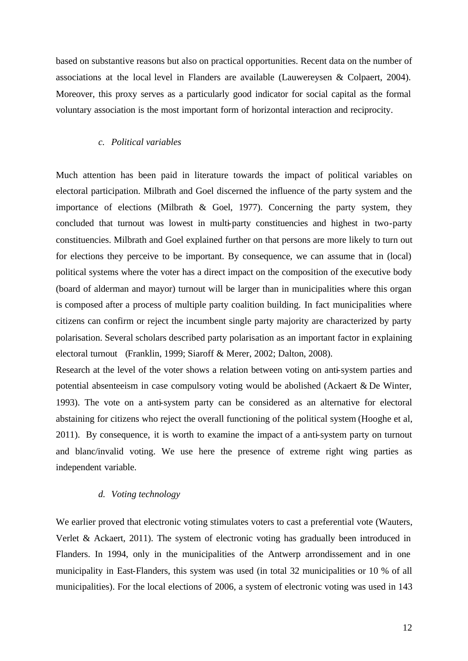based on substantive reasons but also on practical opportunities. Recent data on the number of associations at the local level in Flanders are available (Lauwereysen & Colpaert, 2004). Moreover, this proxy serves as a particularly good indicator for social capital as the formal voluntary association is the most important form of horizontal interaction and reciprocity.

# *c. Political variables*

Much attention has been paid in literature towards the impact of political variables on electoral participation. Milbrath and Goel discerned the influence of the party system and the importance of elections (Milbrath & Goel, 1977). Concerning the party system, they concluded that turnout was lowest in multi-party constituencies and highest in two-party constituencies. Milbrath and Goel explained further on that persons are more likely to turn out for elections they perceive to be important. By consequence, we can assume that in (local) political systems where the voter has a direct impact on the composition of the executive body (board of alderman and mayor) turnout will be larger than in municipalities where this organ is composed after a process of multiple party coalition building. In fact municipalities where citizens can confirm or reject the incumbent single party majority are characterized by party polarisation. Several scholars described party polarisation as an important factor in explaining electoral turnout (Franklin, 1999; Siaroff & Merer, 2002; Dalton, 2008).

Research at the level of the voter shows a relation between voting on anti-system parties and potential absenteeism in case compulsory voting would be abolished (Ackaert & De Winter, 1993). The vote on a anti-system party can be considered as an alternative for electoral abstaining for citizens who reject the overall functioning of the political system (Hooghe et al, 2011). By consequence, it is worth to examine the impact of a anti-system party on turnout and blanc/invalid voting. We use here the presence of extreme right wing parties as independent variable.

#### *d. Voting technology*

We earlier proved that electronic voting stimulates voters to cast a preferential vote (Wauters, Verlet & Ackaert, 2011). The system of electronic voting has gradually been introduced in Flanders. In 1994, only in the municipalities of the Antwerp arrondissement and in one municipality in East-Flanders, this system was used (in total 32 municipalities or 10 % of all municipalities). For the local elections of 2006, a system of electronic voting was used in 143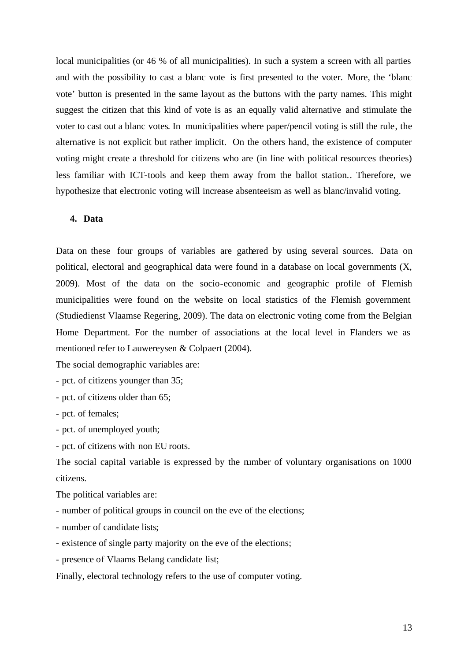local municipalities (or 46 % of all municipalities). In such a system a screen with all parties and with the possibility to cast a blanc vote is first presented to the voter. More, the 'blanc vote' button is presented in the same layout as the buttons with the party names. This might suggest the citizen that this kind of vote is as an equally valid alternative and stimulate the voter to cast out a blanc votes. In municipalities where paper/pencil voting is still the rule, the alternative is not explicit but rather implicit. On the others hand, the existence of computer voting might create a threshold for citizens who are (in line with political resources theories) less familiar with ICT-tools and keep them away from the ballot station.. Therefore, we hypothesize that electronic voting will increase absenteeism as well as blanc/invalid voting.

# **4. Data**

Data on these four groups of variables are gathered by using several sources. Data on political, electoral and geographical data were found in a database on local governments (X, 2009). Most of the data on the socio-economic and geographic profile of Flemish municipalities were found on the website on local statistics of the Flemish government (Studiedienst Vlaamse Regering, 2009). The data on electronic voting come from the Belgian Home Department. For the number of associations at the local level in Flanders we as mentioned refer to Lauwereysen & Colpaert (2004).

The social demographic variables are:

- pct. of citizens younger than 35;

- pct. of citizens older than 65;

- pct. of females;

- pct. of unemployed youth;

- pct. of citizens with non EU roots.

The social capital variable is expressed by the number of voluntary organisations on 1000 citizens.

The political variables are:

- number of political groups in council on the eve of the elections;
- number of candidate lists;
- existence of single party majority on the eve of the elections;
- presence of Vlaams Belang candidate list;

Finally, electoral technology refers to the use of computer voting.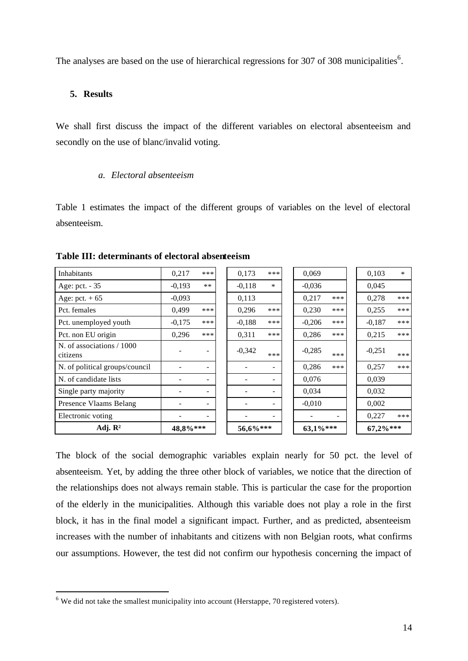The analyses are based on the use of hierarchical regressions for 307 of 308 municipalities<sup>6</sup>.

# **5. Results**

l

We shall first discuss the impact of the different variables on electoral absenteeism and secondly on the use of blanc/invalid voting.

# *a. Electoral absenteeism*

Table 1 estimates the impact of the different groups of variables on the level of electoral absenteeism.

| <b>Inhabitants</b>                    | 0,217    | ***                      | 0,173    | ***    | 0,069       |       | 0,103    | $\ast$ |
|---------------------------------------|----------|--------------------------|----------|--------|-------------|-------|----------|--------|
| Age: pct. - 35                        | $-0,193$ | $***$                    | $-0,118$ | $\ast$ | $-0,036$    |       | 0,045    |        |
| Age: pct. $+65$                       | $-0,093$ |                          | 0,113    |        | 0,217       | ***   | 0,278    | ***    |
| Pct. females                          | 0.499    | ***                      | 0,296    | ***    | 0,230       | ***   | 0,255    | ***    |
| Pct. unemployed youth                 | $-0,175$ | ***                      | $-0,188$ | ***    | $-0,206$    | ***   | $-0,187$ | ***    |
| Pct. non EU origin                    | 0,296    | ***                      | 0,311    | ***    | 0,286       | ***   | 0,215    | ***    |
| N. of associations / 1000<br>citizens |          | ۰                        | $-0,342$ | ***    | $-0,285$    | ***   | $-0,251$ | ***    |
| N. of political groups/council        |          |                          |          |        | 0,286       | $***$ | 0.257    | ***    |
| N. of candidate lists                 |          | $\blacksquare$           |          | Ξ.     | 0,076       |       | 0,039    |        |
| Single party majority                 |          | $\overline{\phantom{a}}$ |          |        | 0,034       |       | 0,032    |        |
| Presence Vlaams Belang                |          | $\overline{\phantom{m}}$ |          | Ξ.     | $-0,010$    |       | 0,002    |        |
| Electronic voting                     |          |                          |          |        |             |       | 0,227    | ***    |
| Adj. $\mathbb{R}^2$                   | 48,8%*** |                          | 56,6%*** |        | $63,1\%***$ |       | 67,2%*** |        |

**Table III: determinants of electoral absenteeism**

The block of the social demographic variables explain nearly for 50 pct. the level of absenteeism. Yet, by adding the three other block of variables, we notice that the direction of the relationships does not always remain stable. This is particular the case for the proportion of the elderly in the municipalities. Although this variable does not play a role in the first block, it has in the final model a significant impact. Further, and as predicted, absenteeism increases with the number of inhabitants and citizens with non Belgian roots, what confirms our assumptions. However, the test did not confirm our hypothesis concerning the impact of

 $6$  We did not take the smallest municipality into account (Herstappe, 70 registered voters).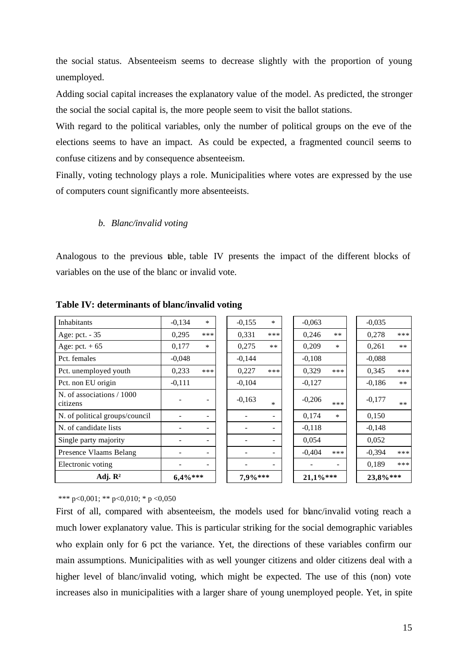the social status. Absenteeism seems to decrease slightly with the proportion of young unemployed.

Adding social capital increases the explanatory value of the model. As predicted, the stronger the social the social capital is, the more people seem to visit the ballot stations.

With regard to the political variables, only the number of political groups on the eve of the elections seems to have an impact. As could be expected, a fragmented council seems to confuse citizens and by consequence absenteeism.

Finally, voting technology plays a role. Municipalities where votes are expressed by the use of computers count significantly more absenteeists.

# *b. Blanc/invalid voting*

Analogous to the previous table, table IV presents the impact of the different blocks of variables on the use of the blanc or invalid vote.

| <b>Inhabitants</b>                    | $-0,134$ | $\ast$                   | $-0,155$ | $\ast$      | $-0,063$ |          | $-0,035$ |       |
|---------------------------------------|----------|--------------------------|----------|-------------|----------|----------|----------|-------|
| Age: pct. - 35                        | 0,295    | ***                      | 0,331    | ***         | 0,246    | $**$     | 0,278    | ***   |
| Age: pct. $+65$                       | 0,177    | $\ast$                   | 0.275    | **          | 0.209    | $\ast$   | 0.261    | $**$  |
| Pct. females                          | $-0.048$ |                          | $-0,144$ |             | $-0.108$ |          | $-0.088$ |       |
| Pct. unemployed youth                 | 0,233    | ***                      | 0,227    | ***         | 0,329    | ***      | 0.345    | ***   |
| Pct. non EU origin                    | $-0,111$ |                          | $-0,104$ |             | $-0,127$ |          | $-0.186$ | $**$  |
| N. of associations / 1000<br>citizens |          |                          | $-0,163$ | $\ast$      | $-0,206$ | ***      | $-0.177$ | $***$ |
| N. of political groups/council        |          | ۰                        |          |             | 0,174    | $\ast$   | 0,150    |       |
| N. of candidate lists                 |          |                          |          |             | $-0,118$ |          | $-0.148$ |       |
| Single party majority                 |          |                          |          |             | 0,054    |          | 0,052    |       |
| Presence Vlaams Belang                |          | $\overline{\phantom{0}}$ |          |             | $-0,404$ | ***      | $-0.394$ | ***   |
| Electronic voting                     |          | -                        |          |             |          |          | 0.189    | ***   |
| Adj. $\mathbb{R}^2$<br>$6.4\%***$     |          | 7,9%***                  |          | $21.1\%***$ |          | 23,8%*** |          |       |

**Table IV: determinants of blanc/invalid voting**

\*\*\* p<0,001; \*\* p<0,010; \* p <0,050

First of all, compared with absenteeism, the models used for blanc/invalid voting reach a much lower explanatory value. This is particular striking for the social demographic variables who explain only for 6 pct the variance. Yet, the directions of these variables confirm our main assumptions. Municipalities with as well younger citizens and older citizens deal with a higher level of blanc/invalid voting, which might be expected. The use of this (non) vote increases also in municipalities with a larger share of young unemployed people. Yet, in spite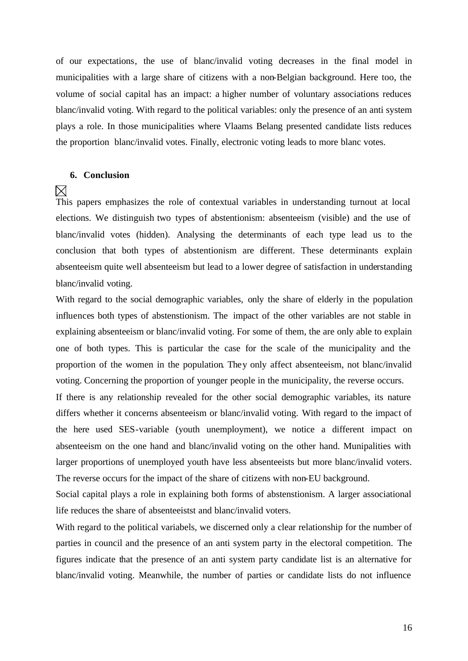of our expectations, the use of blanc/invalid voting decreases in the final model in municipalities with a large share of citizens with a non-Belgian background. Here too, the volume of social capital has an impact: a higher number of voluntary associations reduces blanc/invalid voting. With regard to the political variables: only the presence of an anti system plays a role. In those municipalities where Vlaams Belang presented candidate lists reduces the proportion blanc/invalid votes. Finally, electronic voting leads to more blanc votes.

#### **6. Conclusion**

# ⊠

This papers emphasizes the role of contextual variables in understanding turnout at local elections. We distinguish two types of abstentionism: absenteeism (visible) and the use of blanc/invalid votes (hidden). Analysing the determinants of each type lead us to the conclusion that both types of abstentionism are different. These determinants explain absenteeism quite well absenteeism but lead to a lower degree of satisfaction in understanding blanc/invalid voting.

With regard to the social demographic variables, only the share of elderly in the population influences both types of abstenstionism. The impact of the other variables are not stable in explaining absenteeism or blanc/invalid voting. For some of them, the are only able to explain one of both types. This is particular the case for the scale of the municipality and the proportion of the women in the population. They only affect absenteeism, not blanc/invalid voting. Concerning the proportion of younger people in the municipality, the reverse occurs.

If there is any relationship revealed for the other social demographic variables, its nature differs whether it concerns absenteeism or blanc/invalid voting. With regard to the impact of the here used SES-variable (youth unemployment), we notice a different impact on absenteeism on the one hand and blanc/invalid voting on the other hand. Munipalities with larger proportions of unemployed youth have less absenteeists but more blanc/invalid voters. The reverse occurs for the impact of the share of citizens with non-EU background.

Social capital plays a role in explaining both forms of abstenstionism. A larger associational life reduces the share of absenteeistst and blanc/invalid voters.

With regard to the political variabels, we discerned only a clear relationship for the number of parties in council and the presence of an anti system party in the electoral competition. The figures indicate that the presence of an anti system party candidate list is an alternative for blanc/invalid voting. Meanwhile, the number of parties or candidate lists do not influence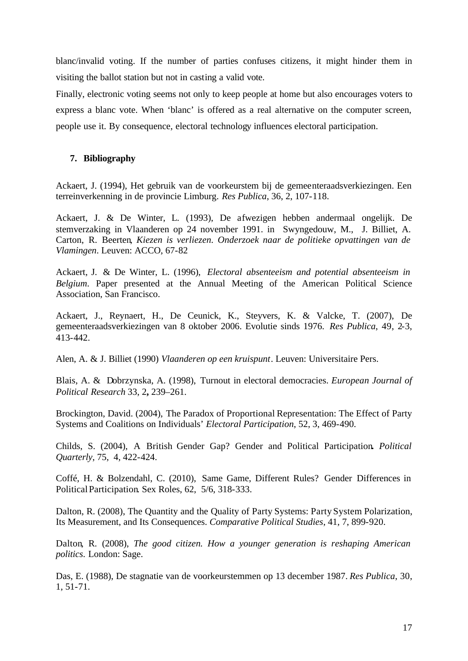blanc/invalid voting. If the number of parties confuses citizens, it might hinder them in visiting the ballot station but not in casting a valid vote.

Finally, electronic voting seems not only to keep people at home but also encourages voters to express a blanc vote. When 'blanc' is offered as a real alternative on the computer screen, people use it. By consequence, electoral technology influences electoral participation.

# **7. Bibliography**

Ackaert, J. (1994), Het gebruik van de voorkeurstem bij de gemeenteraadsverkiezingen. Een terreinverkenning in de provincie Limburg. *Res Publica*, 36, 2, 107-118.

Ackaert, J. & De Winter, L. (1993), De afwezigen hebben andermaal ongelijk. De stemverzaking in Vlaanderen op 24 november 1991. in Swyngedouw, M., J. Billiet, A. Carton, R. Beerten, *Kiezen is verliezen. Onderzoek naar de politieke opvattingen van de Vlamingen*. Leuven: ACCO, 67-82

Ackaert, J. & De Winter, L. (1996), *Electoral absenteeism and potential absenteeism in Belgium*. Paper presented at the Annual Meeting of the American Political Science Association, San Francisco.

Ackaert, J., Reynaert, H., De Ceunick, K., Steyvers, K. & Valcke, T. (2007), De gemeenteraadsverkiezingen van 8 oktober 2006. Evolutie sinds 1976. *Res Publica*, 49, 2-3, 413-442.

Alen, A. & J. Billiet (1990) *Vlaanderen op een kruispunt*. Leuven: Universitaire Pers.

Blais, A. & Dobrzynska, A. (1998), Turnout in electoral democracies. *European Journal of Political Research* 33, 2**,** 239–261.

Brockington, David. (2004), The Paradox of Proportional Representation: The Effect of Party Systems and Coalitions on Individuals' *Electoral Participation*, 52, 3, 469-490.

Childs, S. (2004), A British Gender Gap? Gender and Political Participation**.** *Political Quarterly*, 75, 4, 422-424.

Coffé, H. & Bolzendahl, C. (2010), Same Game, Different Rules? Gender Differences in PoliticalParticipation. Sex Roles, 62, 5/6, 318-333.

Dalton, R. (2008), The Quantity and the Quality of Party Systems: Party System Polarization, Its Measurement, and Its Consequences. *Comparative Political Studies*, 41, 7, 899-920.

Dalton, R. (2008), *The good citizen. How a younger generation is reshaping American politics*. London: Sage.

Das, E. (1988), De stagnatie van de voorkeurstemmen op 13 december 1987. *Res Publica*, 30, 1, 51-71.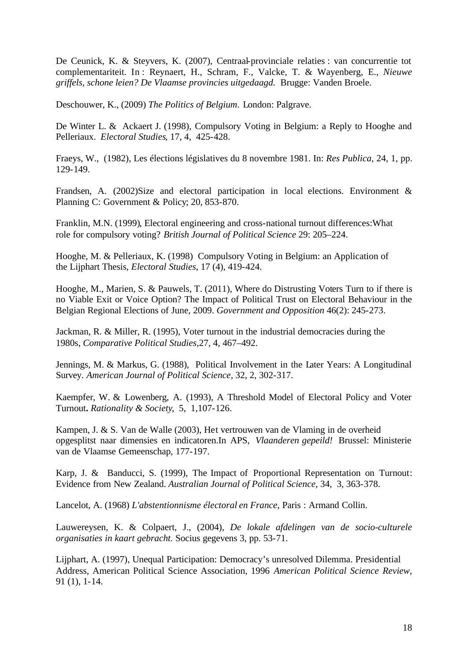De Ceunick, K. & Steyvers, K. (2007), Centraal-provinciale relaties : van concurrentie tot complementariteit. In : Reynaert, H., Schram, F., Valcke, T. & Wayenberg, E., *Nieuwe griffels, schone leien? De Vlaamse provincies uitgedaagd.* Brugge: Vanden Broele.

Deschouwer, K., (2009) *The Politics of Belgium*. London: Palgrave.

De Winter L. & Ackaert J. (1998), Compulsory Voting in Belgium: a Reply to Hooghe and Pelleriaux. *Electoral Studies*, 17, 4, 425-428.

Fraeys, W., (1982), Les élections législatives du 8 novembre 1981. In: *Res Publica*, 24, 1, pp. 129-149.

Frandsen, A. (2002)Size and electoral participation in local elections. Environment & Planning C: Government & Policy; 20, 853-870.

Franklin, M.N. (1999), Electoral engineering and cross-national turnout differences:What role for compulsory voting? *British Journal of Political Science* 29: 205–224.

Hooghe, M. & Pelleriaux, K. (1998) Compulsory Voting in Belgium: an Application of the Lijphart Thesis, *Electoral Studies*, 17 (4), 419-424.

Hooghe, M., Marien, S. & Pauwels, T. (2011), Where do Distrusting Voters Turn to if there is no Viable Exit or Voice Option? The Impact of Political Trust on Electoral Behaviour in the Belgian Regional Elections of June, 2009. *Government and Opposition* 46(2): 245-273.

Jackman, R. & Miller, R. (1995), Voter turnout in the industrial democracies during the 1980s, *Comparative Political Studies*,27, 4, 467–492.

Jennings, M. & Markus, G. (1988), Political Involvement in the Later Years: A Longitudinal Survey. *American Journal of Political Science*, 32, 2, 302-317.

Kaempfer, W. & Lowenberg, A. (1993), A Threshold Model of Electoral Policy and Voter Turnout**.** *Rationality & Society*, 5, 1,107-126.

Kampen, J. & S. Van de Walle (2003), Het vertrouwen van de Vlaming in de overheid opgesplitst naar dimensies en indicatoren.In APS, *Vlaanderen gepeild!* Brussel: Ministerie van de Vlaamse Gemeenschap, 177-197.

Karp, J. & Banducci, S. (1999), The Impact of Proportional Representation on Turnout: Evidence from New Zealand. *Australian Journal of Political Science*, 34, 3, 363-378.

Lancelot, A. (1968) *L'abstentionnisme électoral en France*, Paris : Armand Collin.

Lauwereysen, K. & Colpaert, J., (2004), *De lokale afdelingen van de socio-culturele organisaties in kaart gebracht.* Socius gegevens 3, pp. 53-71.

Lijphart, A. (1997), Unequal Participation: Democracy's unresolved Dilemma. Presidential Address, American Political Science Association, 1996 *American Political Science Review*, 91 (1), 1-14.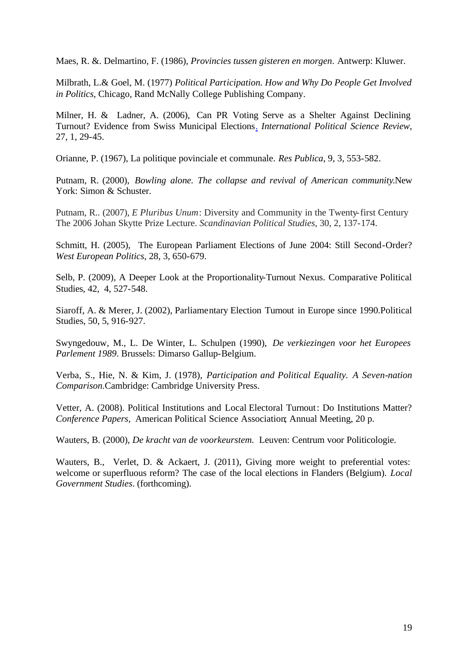Maes, R. &. Delmartino, F. (1986), *Provincies tussen gisteren en morgen*. Antwerp: Kluwer.

Milbrath, L.& Goel, M. (1977) *Political Participation. How and Why Do People Get Involved in Politics*, Chicago, Rand McNally College Publishing Company.

Milner, H. & Ladner, A. (2006), Can PR Voting Serve as a Shelter Against Declining Turnout? Evidence from Swiss Municipal Elections. *International Political Science Review*, 27, 1, 29-45.

Orianne, P. (1967), La politique povinciale et communale. *Res Publica*, 9, 3, 553-582.

Putnam, R. (2000), *Bowling alone. The collapse and revival of American community*.New York: Simon & Schuster.

Putnam, R.. (2007), *E Pluribus Unum*: Diversity and Community in the Twenty-first Century The 2006 Johan Skytte Prize Lecture. *Scandinavian Political Studies*, 30, 2, 137-174.

Schmitt, H. (2005), The European Parliament Elections of June 2004: Still Second-Order? *West European Politics*, 28, 3, 650-679.

Selb, P. (2009), A Deeper Look at the Proportionality-Turnout Nexus. Comparative Political Studies, 42, 4, 527-548.

Siaroff, A. & Merer, J. (2002), Parliamentary Election Turnout in Europe since 1990.Political Studies, 50, 5, 916-927.

Swyngedouw, M., L. De Winter, L. Schulpen (1990), *De verkiezingen voor het Europees Parlement 1989*. Brussels: Dimarso Gallup-Belgium.

Verba, S., Hie, N. & Kim, J. (1978), *Participation and Political Equality. A Seven-nation Comparison*.Cambridge: Cambridge University Press.

Vetter, A. (2008). Political Institutions and Local Electoral Turnout: Do Institutions Matter? *Conference Papers*, American Political Science Association; Annual Meeting, 20 p.

Wauters, B. (2000), *De kracht van de voorkeurstem.* Leuven: Centrum voor Politicologie.

Wauters, B., Verlet, D. & Ackaert, J. (2011), Giving more weight to preferential votes: welcome or superfluous reform? The case of the local elections in Flanders (Belgium). *Local Government Studies*. (forthcoming).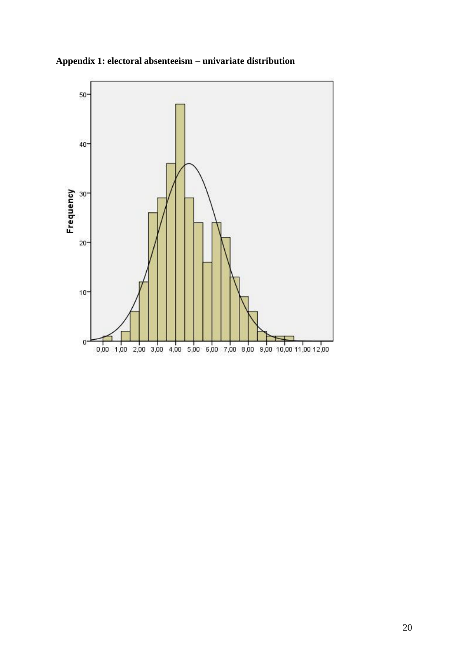

**Appendix 1: electoral absenteeism – univariate distribution**